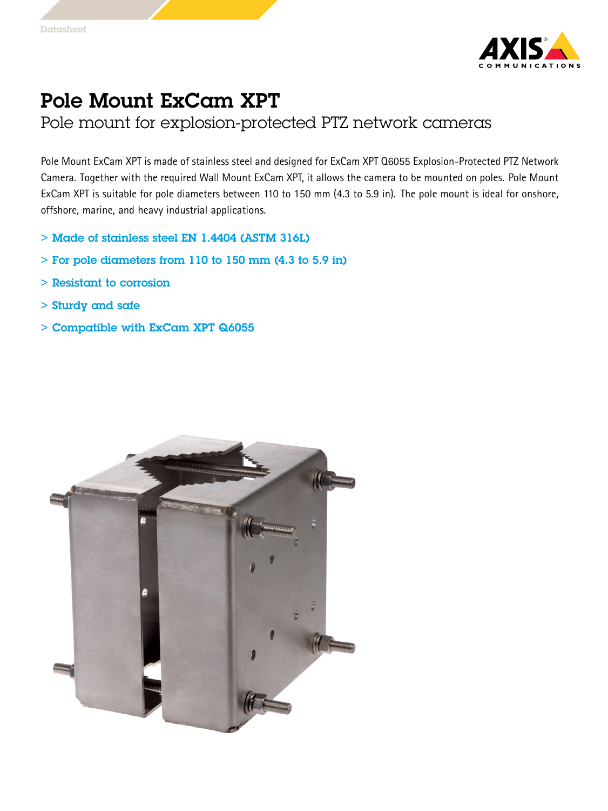

## Pole Mount ExCam XPT

Pole mount for explosion-protected PTZ network cameras

Pole Mount ExCam XPT is made of stainless steel and designed for ExCam XPT Q6055 Explosion-Protected PTZ Network Camera. Together with the required Wall Mount ExCam XPT, it allows the camera to be mounted on poles. Pole Mount ExCam XPT is suitable for pole diameters between <sup>110</sup> to <sup>150</sup> mm (4.3 to 5.9 in). The pole mount is ideal for onshore, offshore, marine, and heavy industrial applications.

- > Made of stainless steel EN 1.4404 (ASTM 316L)
- $>$  For pole diameters from 110 to 150 mm (4.3 to 5.9 in)
- > Resistant to corrosion
- > Sturdy and safe
- $>$  Compatible with ExCam XPT Q6055